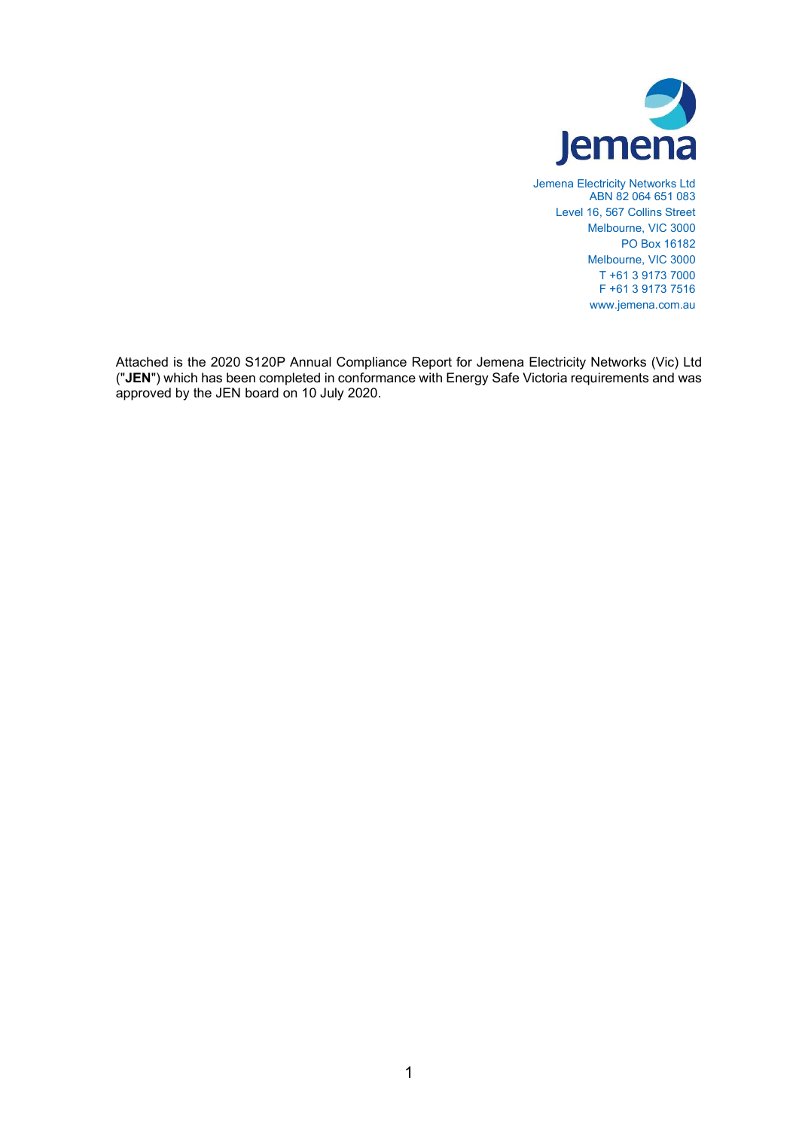

Jemena Electricity Networks Ltd ABN 82 064 651 083 Level 16, 567 Collins Street Melbourne, VIC 3000 PO Box 16182 Melbourne, VIC 3000 T +61 3 9173 7000 F +61 3 9173 7516 www.jemena.com.au

Attached is the 2020 S120P Annual Compliance Report for Jemena Electricity Networks (Vic) Ltd ("JEN") which has been completed in conformance with Energy Safe Victoria requirements and was approved by the JEN board on 10 July 2020.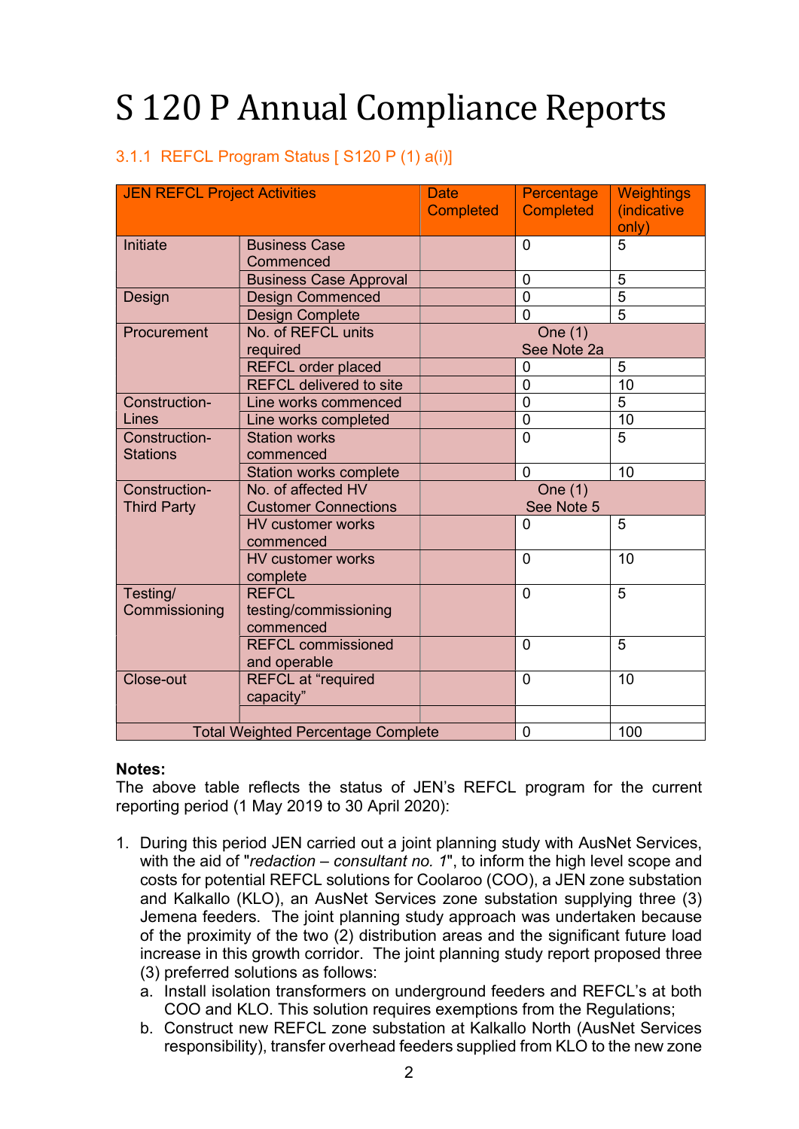# S 120 P Annual Compliance Reports

## 3.1.1 REFCL Program Status [ S120 P (1) a(i)]

| <b>JEN REFCL Project Activities</b> |                                                    | <b>Date</b><br><b>Completed</b> | Percentage<br><b>Completed</b> | <b>Weightings</b><br>(indicative<br>only) |
|-------------------------------------|----------------------------------------------------|---------------------------------|--------------------------------|-------------------------------------------|
| Initiate                            | <b>Business Case</b><br>Commenced                  |                                 | $\overline{0}$                 | $\overline{5}$                            |
|                                     | <b>Business Case Approval</b>                      |                                 | 0                              | 5                                         |
| Design                              | <b>Design Commenced</b>                            |                                 | $\overline{0}$                 | $\overline{5}$                            |
|                                     | <b>Design Complete</b>                             |                                 | $\overline{0}$                 | $\overline{5}$                            |
| Procurement                         | No. of REFCL units<br>required                     |                                 | One (1)<br>See Note 2a         |                                           |
|                                     | <b>REFCL order placed</b>                          |                                 | 0                              | 5                                         |
|                                     | <b>REFCL delivered to site</b>                     |                                 | $\overline{0}$                 | 10                                        |
| Construction-                       | Line works commenced                               |                                 | $\overline{0}$                 | 5                                         |
| Lines                               | Line works completed                               |                                 | $\mathbf 0$                    | 10                                        |
| Construction-<br><b>Stations</b>    | <b>Station works</b><br>commenced                  |                                 | $\overline{0}$                 | $\overline{5}$                            |
|                                     | Station works complete                             |                                 | $\mathbf{0}$                   | 10                                        |
| Construction-<br><b>Third Party</b> | No. of affected HV<br><b>Customer Connections</b>  | One (1)<br>See Note 5           |                                |                                           |
|                                     | <b>HV customer works</b><br>commenced              |                                 | 0                              | 5                                         |
|                                     | <b>HV customer works</b><br>complete               |                                 | 0                              | 10                                        |
| Testing/<br>Commissioning           | <b>REFCL</b><br>testing/commissioning<br>commenced |                                 | $\overline{0}$                 | 5                                         |
|                                     | <b>REFCL commissioned</b><br>and operable          |                                 | $\overline{0}$                 | 5                                         |
| Close-out                           | <b>REFCL at "required</b><br>capacity"             |                                 | 0                              | 10                                        |
|                                     |                                                    |                                 |                                |                                           |
|                                     | <b>Total Weighted Percentage Complete</b>          |                                 | $\mathbf 0$                    | 100                                       |

#### Notes:

The above table reflects the status of JEN's REFCL program for the current reporting period (1 May 2019 to 30 April 2020):

- 1. During this period JEN carried out a joint planning study with AusNet Services, with the aid of "redaction – consultant no. 1", to inform the high level scope and costs for potential REFCL solutions for Coolaroo (COO), a JEN zone substation and Kalkallo (KLO), an AusNet Services zone substation supplying three (3) Jemena feeders. The joint planning study approach was undertaken because of the proximity of the two (2) distribution areas and the significant future load increase in this growth corridor. The joint planning study report proposed three (3) preferred solutions as follows:
	- a. Install isolation transformers on underground feeders and REFCL's at both COO and KLO. This solution requires exemptions from the Regulations;
	- b. Construct new REFCL zone substation at Kalkallo North (AusNet Services responsibility), transfer overhead feeders supplied from KLO to the new zone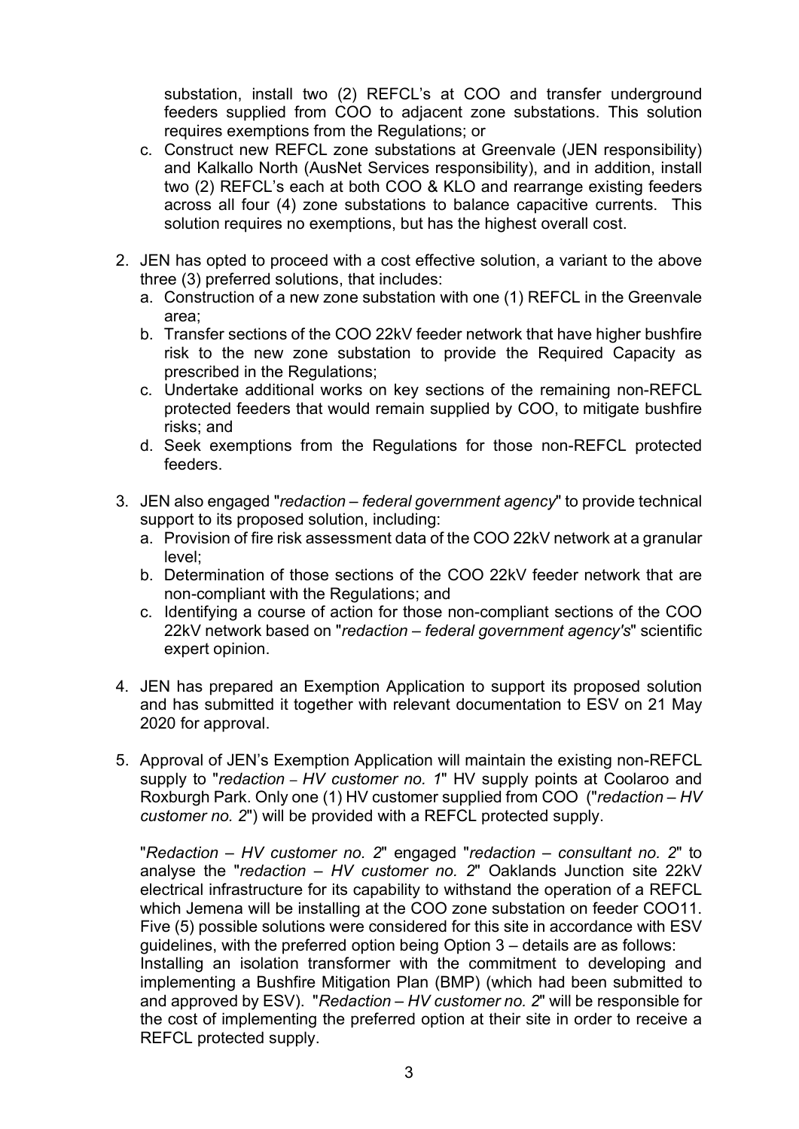substation, install two (2) REFCL's at COO and transfer underground feeders supplied from COO to adjacent zone substations. This solution requires exemptions from the Regulations; or

- c. Construct new REFCL zone substations at Greenvale (JEN responsibility) and Kalkallo North (AusNet Services responsibility), and in addition, install two (2) REFCL's each at both COO & KLO and rearrange existing feeders across all four (4) zone substations to balance capacitive currents. This solution requires no exemptions, but has the highest overall cost.
- 2. JEN has opted to proceed with a cost effective solution, a variant to the above three (3) preferred solutions, that includes:
	- a. Construction of a new zone substation with one (1) REFCL in the Greenvale area;
	- b. Transfer sections of the COO 22kV feeder network that have higher bushfire risk to the new zone substation to provide the Required Capacity as prescribed in the Regulations;
	- c. Undertake additional works on key sections of the remaining non-REFCL protected feeders that would remain supplied by COO, to mitigate bushfire risks; and
	- d. Seek exemptions from the Regulations for those non-REFCL protected feeders.
- 3. JEN also engaged "redaction federal government agency" to provide technical support to its proposed solution, including:
	- a. Provision of fire risk assessment data of the COO 22kV network at a granular level;
	- b. Determination of those sections of the COO 22kV feeder network that are non-compliant with the Regulations; and
	- c. Identifying a course of action for those non-compliant sections of the COO 22kV network based on "redaction – federal government agency's" scientific expert opinion.
- 4. JEN has prepared an Exemption Application to support its proposed solution and has submitted it together with relevant documentation to ESV on 21 May 2020 for approval.
- 5. Approval of JEN's Exemption Application will maintain the existing non-REFCL supply to "redaction – HV customer no. 1" HV supply points at Coolaroo and Roxburgh Park. Only one (1) HV customer supplied from COO ("redaction – HV customer no. 2") will be provided with a REFCL protected supply.

"Redaction – HV customer no. 2" engaged "redaction – consultant no. 2" to analyse the "redaction  $-$  HV customer no. 2" Oaklands Junction site 22kV electrical infrastructure for its capability to withstand the operation of a REFCL which Jemena will be installing at the COO zone substation on feeder COO11. Five (5) possible solutions were considered for this site in accordance with ESV guidelines, with the preferred option being Option 3 – details are as follows: Installing an isolation transformer with the commitment to developing and implementing a Bushfire Mitigation Plan (BMP) (which had been submitted to and approved by ESV). "Redaction – HV customer no. 2" will be responsible for the cost of implementing the preferred option at their site in order to receive a REFCL protected supply.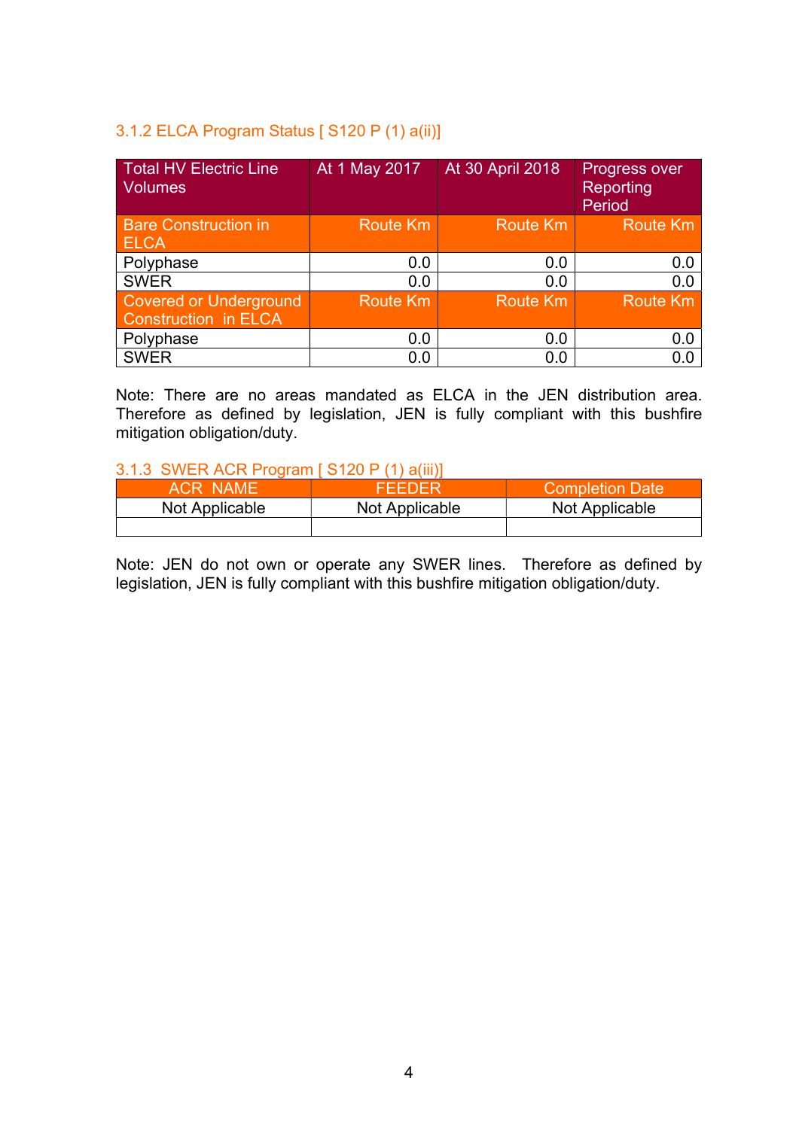## 3.1.2 ELCA Program Status [ S120 P (1) a(ii)]

| <b>Total HV Electric Line</b><br><b>Volumes</b>              | At 1 May 2017   | At 30 April 2018 | Progress over<br>Reporting<br>Period |
|--------------------------------------------------------------|-----------------|------------------|--------------------------------------|
| <b>Bare Construction in</b><br><b>ELCA</b>                   | <b>Route Km</b> | Route Km         | <b>Route Km</b>                      |
| Polyphase                                                    | 0.0             | 0.0              | 0.0                                  |
| <b>SWER</b>                                                  | 0.0             | 0.0              | 0.0                                  |
| <b>Covered or Underground</b><br><b>Construction in ELCA</b> | <b>Route Km</b> | <b>Route Km</b>  | <b>Route Km</b>                      |
| Polyphase                                                    | 0.0             | 0.0              | 0.0                                  |
| <b>SWER</b>                                                  | 0.0             | 0.0              |                                      |

Note: There are no areas mandated as ELCA in the JEN distribution area. Therefore as defined by legislation, JEN is fully compliant with this bushfire mitigation obligation/duty.

### 3.1.3 SWER ACR Program [ S120 P (1) a(iii)]

| ACR NAME       | FFFDFR         | <b>Completion Date</b> |
|----------------|----------------|------------------------|
| Not Applicable | Not Applicable | Not Applicable         |
|                |                |                        |

Note: JEN do not own or operate any SWER lines. Therefore as defined by legislation, JEN is fully compliant with this bushfire mitigation obligation/duty.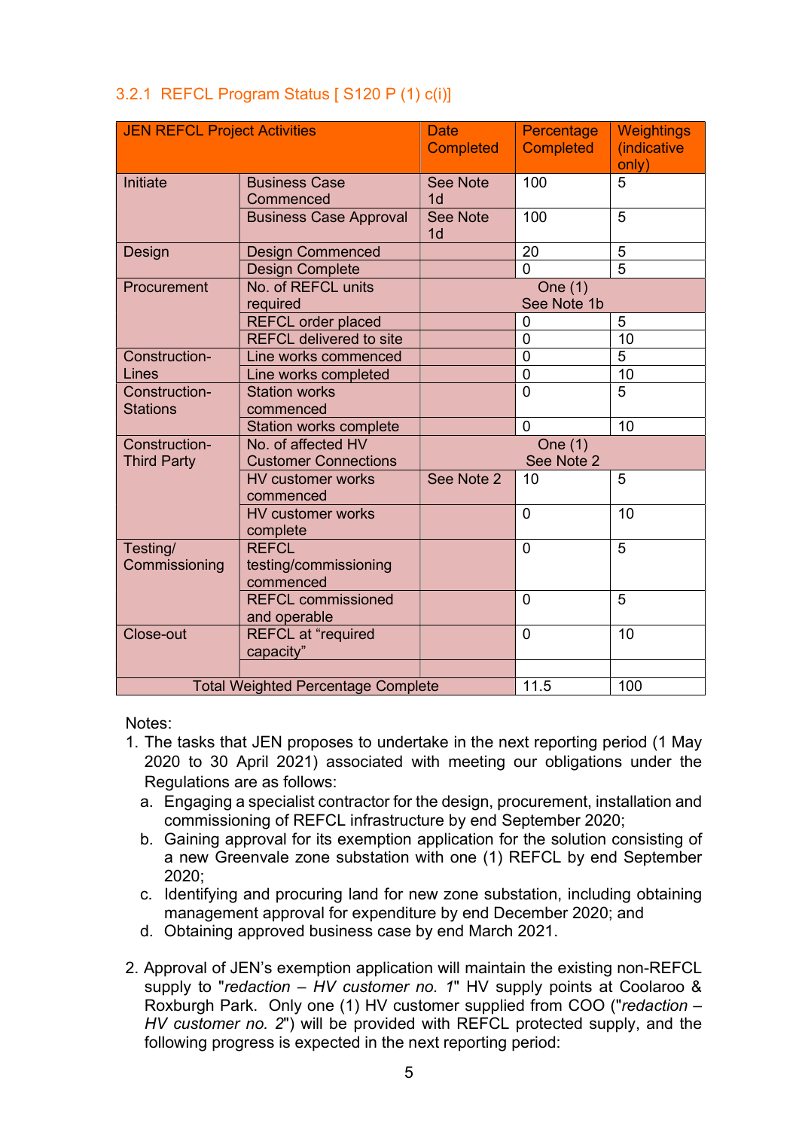|  | 3.2.1 REFCL Program Status [ S120 P (1) c(i)] |
|--|-----------------------------------------------|
|--|-----------------------------------------------|

| <b>JEN REFCL Project Activities</b>       |                                                    | <b>Date</b><br><b>Completed</b>   | Percentage<br><b>Completed</b> | <b>Weightings</b><br>(indicative<br>only) |
|-------------------------------------------|----------------------------------------------------|-----------------------------------|--------------------------------|-------------------------------------------|
| <b>Initiate</b>                           | <b>Business Case</b><br>Commenced                  | <b>See Note</b><br>1 <sub>d</sub> | 100                            | 5                                         |
|                                           | <b>Business Case Approval</b>                      | <b>See Note</b><br>1 <sub>d</sub> | 100                            | 5                                         |
| Design                                    | <b>Design Commenced</b>                            |                                   | 20                             | 5                                         |
|                                           | <b>Design Complete</b>                             |                                   | $\Omega$                       | $\overline{5}$                            |
| Procurement                               | No. of REFCL units<br>required                     |                                   | One $(1)$<br>See Note 1b       |                                           |
|                                           | <b>REFCL order placed</b>                          |                                   | 0                              | 5                                         |
|                                           | <b>REFCL delivered to site</b>                     |                                   | 0                              | 10                                        |
| Construction-                             | Line works commenced                               |                                   | $\overline{0}$                 | 5                                         |
| Lines                                     | Line works completed                               |                                   | $\overline{0}$                 | 10                                        |
| Construction-<br><b>Stations</b>          | <b>Station works</b><br>commenced                  |                                   | $\overline{0}$                 | 5                                         |
|                                           | <b>Station works complete</b>                      |                                   | $\overline{0}$                 | 10                                        |
| Construction-                             | No. of affected HV                                 |                                   | One (1)                        |                                           |
| <b>Third Party</b>                        | <b>Customer Connections</b>                        |                                   | See Note 2                     |                                           |
|                                           | <b>HV customer works</b><br>commenced              | See Note 2                        | 10                             | 5                                         |
|                                           | <b>HV customer works</b><br>complete               |                                   | $\overline{0}$                 | 10                                        |
| Testing/<br>Commissioning                 | <b>REFCL</b><br>testing/commissioning<br>commenced |                                   | 0                              | 5                                         |
|                                           | <b>REFCL commissioned</b><br>and operable          |                                   | $\overline{0}$                 | 5                                         |
| Close-out                                 | <b>REFCL at "required</b><br>capacity"             |                                   | $\mathbf{0}$                   | 10                                        |
|                                           |                                                    |                                   |                                |                                           |
| <b>Total Weighted Percentage Complete</b> |                                                    |                                   | 11.5                           | 100                                       |

Notes:

- 1. The tasks that JEN proposes to undertake in the next reporting period (1 May 2020 to 30 April 2021) associated with meeting our obligations under the Regulations are as follows:
	- a. Engaging a specialist contractor for the design, procurement, installation and commissioning of REFCL infrastructure by end September 2020;
	- b. Gaining approval for its exemption application for the solution consisting of a new Greenvale zone substation with one (1) REFCL by end September 2020;
	- c. Identifying and procuring land for new zone substation, including obtaining management approval for expenditure by end December 2020; and
	- d. Obtaining approved business case by end March 2021.
- 2. Approval of JEN's exemption application will maintain the existing non-REFCL supply to "redaction – HV customer no. 1" HV supply points at Coolaroo & Roxburgh Park. Only one (1) HV customer supplied from COO ("redaction – HV customer no. 2") will be provided with REFCL protected supply, and the following progress is expected in the next reporting period: